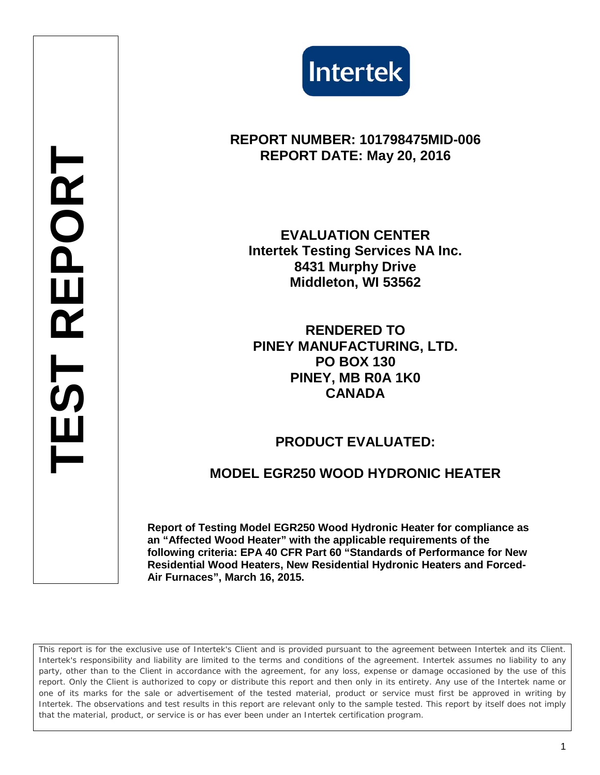

# **REPORT NUMBER: 101798475MID-006 REPORT DATE: May 20, 2016**

**EVALUATION CENTER Intertek Testing Services NA Inc. 8431 Murphy Drive Middleton, WI 53562**

**TEST REPORT**

 $\overline{5}$ 

REPORT

**RENDERED TO PINEY MANUFACTURING, LTD. PO BOX 130 PINEY, MB R0A 1K0 CANADA**

## **PRODUCT EVALUATED:**

## **MODEL EGR250 WOOD HYDRONIC HEATER**

**Report of Testing Model EGR250 Wood Hydronic Heater for compliance as an "Affected Wood Heater" with the applicable requirements of the following criteria: EPA 40 CFR Part 60 "Standards of Performance for New Residential Wood Heaters, New Residential Hydronic Heaters and Forced-Air Furnaces", March 16, 2015.**

*This report is for the exclusive use of Intertek's Client and is provided pursuant to the agreement between Intertek and its Client. Intertek's responsibility and liability are limited to the terms and conditions of the agreement. Intertek assumes no liability to any party, other than to the Client in accordance with the agreement, for any loss, expense or damage occasioned by the use of this report. Only the Client is authorized to copy or distribute this report and then only in its entirety. Any use of the Intertek name or one of its marks for the sale or advertisement of the tested material, product or service must first be approved in writing by Intertek. The observations and test results in this report are relevant only to the sample tested. This report by itself does not imply that the material, product, or service is or has ever been under an Intertek certification program.*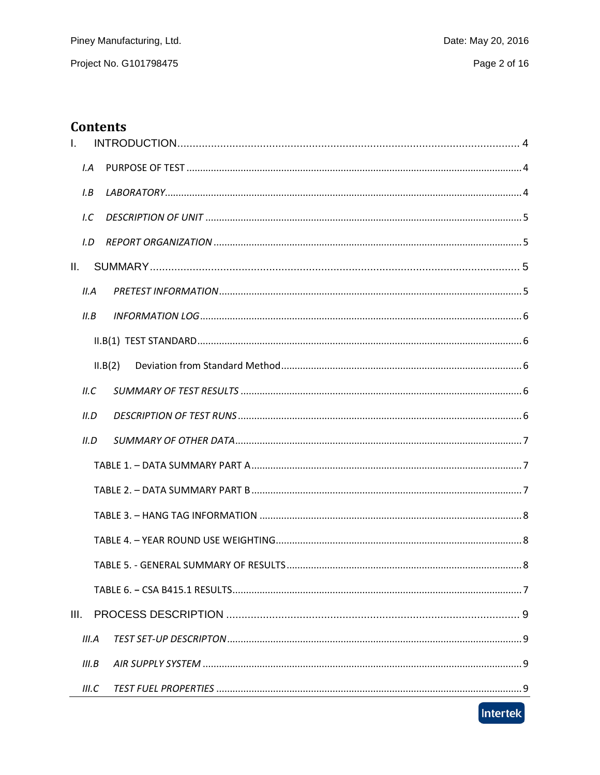# **Contents**

| T.   |       |         |
|------|-------|---------|
|      | I.A   |         |
|      | I.B   |         |
|      | 1.C   |         |
|      | I.D   |         |
| II.  |       |         |
|      | II.A  |         |
|      | II.B  |         |
|      |       |         |
|      |       | II.B(2) |
|      | ILC   |         |
|      | II.D  |         |
|      | II.D  |         |
|      |       |         |
|      |       |         |
|      |       |         |
|      |       |         |
|      |       |         |
|      |       |         |
| III. |       |         |
|      | III.A |         |
|      | III.B |         |
|      | III.C |         |

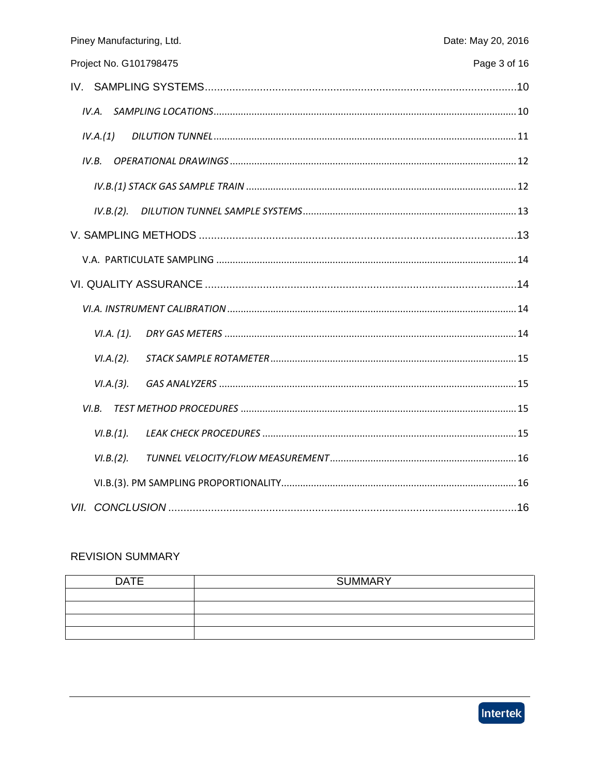| Piney Manufacturing, Ltd.<br>Date: May 20, 2016 |
|-------------------------------------------------|
| Page 3 of 16<br>Project No. G101798475          |
|                                                 |
| IV.A.                                           |
| IV.A.(1)                                        |
| IV.B.                                           |
|                                                 |
| IV.B.(2).                                       |
|                                                 |
|                                                 |
|                                                 |
|                                                 |
| VI.A. (1).                                      |
| VI.A.(2).                                       |
| VI.A.(3).                                       |
| VI.B.                                           |
| VI.B.(1).                                       |
| VI.B.(2).                                       |
|                                                 |
|                                                 |

## **REVISION SUMMARY**

| <b>DATE</b> | <b>SUMMARY</b> |
|-------------|----------------|
|             |                |
|             |                |
|             |                |
|             |                |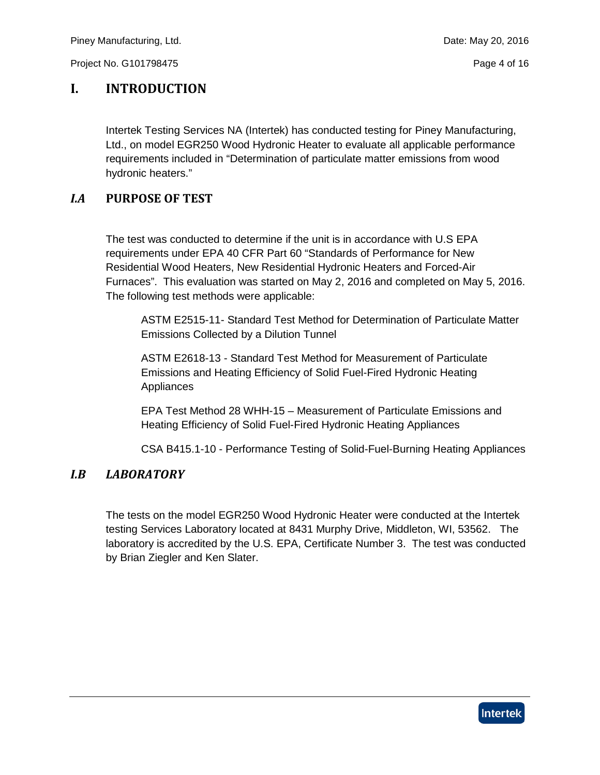## <span id="page-3-0"></span>**I. INTRODUCTION**

Intertek Testing Services NA (Intertek) has conducted testing for Piney Manufacturing, Ltd., on model EGR250 Wood Hydronic Heater to evaluate all applicable performance requirements included in "Determination of particulate matter emissions from wood hydronic heaters."

## <span id="page-3-1"></span>*I.A* **PURPOSE OF TEST**

The test was conducted to determine if the unit is in accordance with U.S EPA requirements under EPA 40 CFR Part 60 "Standards of Performance for New Residential Wood Heaters, New Residential Hydronic Heaters and Forced-Air Furnaces". This evaluation was started on May 2, 2016 and completed on May 5, 2016. The following test methods were applicable:

ASTM E2515-11- Standard Test Method for Determination of Particulate Matter Emissions Collected by a Dilution Tunnel

ASTM E2618-13 - Standard Test Method for Measurement of Particulate Emissions and Heating Efficiency of Solid Fuel-Fired Hydronic Heating Appliances

EPA Test Method 28 WHH-15 – Measurement of Particulate Emissions and Heating Efficiency of Solid Fuel-Fired Hydronic Heating Appliances

CSA B415.1-10 - Performance Testing of Solid-Fuel-Burning Heating Appliances

## <span id="page-3-2"></span>*I.B LABORATORY*

The tests on the model EGR250 Wood Hydronic Heater were conducted at the Intertek testing Services Laboratory located at 8431 Murphy Drive, Middleton, WI, 53562. The laboratory is accredited by the U.S. EPA, Certificate Number 3. The test was conducted by Brian Ziegler and Ken Slater.

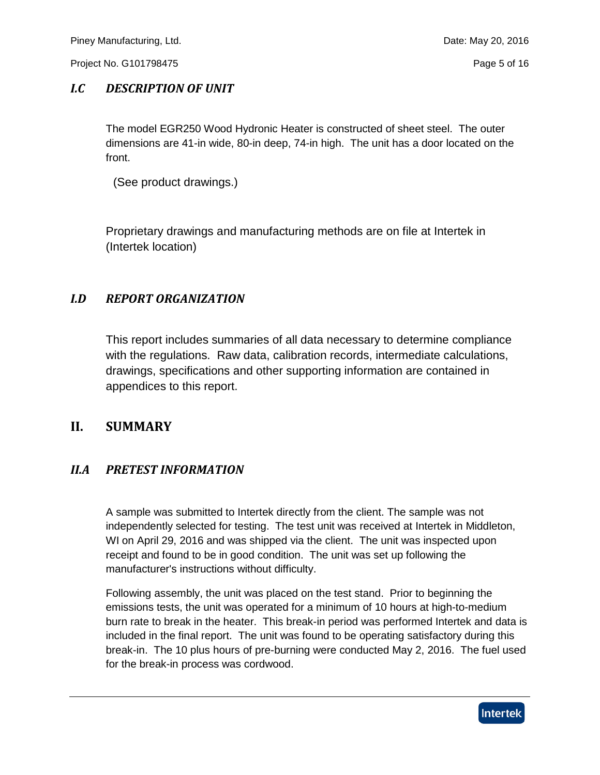## <span id="page-4-0"></span>*I.C DESCRIPTION OF UNIT*

The model EGR250 Wood Hydronic Heater is constructed of sheet steel. The outer dimensions are 41-in wide, 80-in deep, 74-in high. The unit has a door located on the front.

(See product drawings.)

Proprietary drawings and manufacturing methods are on file at Intertek in (Intertek location)

## <span id="page-4-1"></span>*I.D REPORT ORGANIZATION*

This report includes summaries of all data necessary to determine compliance with the regulations. Raw data, calibration records, intermediate calculations, drawings, specifications and other supporting information are contained in appendices to this report.

## <span id="page-4-2"></span>**II. SUMMARY**

## <span id="page-4-3"></span>*II.A PRETEST INFORMATION*

A sample was submitted to Intertek directly from the client. The sample was not independently selected for testing. The test unit was received at Intertek in Middleton, WI on April 29, 2016 and was shipped via the client. The unit was inspected upon receipt and found to be in good condition. The unit was set up following the manufacturer's instructions without difficulty.

Following assembly, the unit was placed on the test stand. Prior to beginning the emissions tests, the unit was operated for a minimum of 10 hours at high-to-medium burn rate to break in the heater. This break-in period was performed Intertek and data is included in the final report. The unit was found to be operating satisfactory during this break-in. The 10 plus hours of pre-burning were conducted May 2, 2016. The fuel used for the break-in process was cordwood.

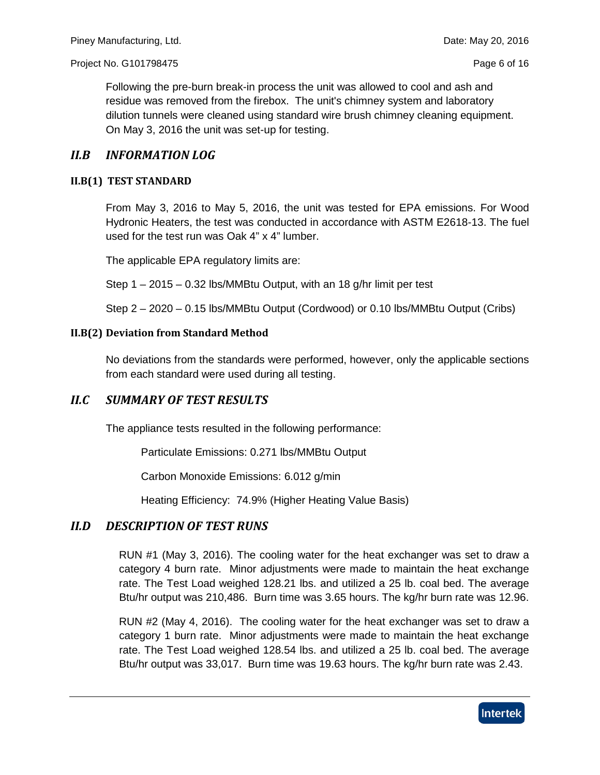Following the pre-burn break-in process the unit was allowed to cool and ash and residue was removed from the firebox. The unit's chimney system and laboratory dilution tunnels were cleaned using standard wire brush chimney cleaning equipment. On May 3, 2016 the unit was set-up for testing.

#### <span id="page-5-0"></span>*II.B INFORMATION LOG*

#### <span id="page-5-1"></span>**II.B(1) TEST STANDARD**

From May 3, 2016 to May 5, 2016, the unit was tested for EPA emissions. For Wood Hydronic Heaters, the test was conducted in accordance with ASTM E2618-13. The fuel used for the test run was Oak 4" x 4" lumber.

The applicable EPA regulatory limits are:

Step 1 – 2015 – 0.32 lbs/MMBtu Output, with an 18 g/hr limit per test

Step 2 – 2020 – 0.15 lbs/MMBtu Output (Cordwood) or 0.10 lbs/MMBtu Output (Cribs)

#### <span id="page-5-2"></span>**II.B(2) Deviation from Standard Method**

No deviations from the standards were performed, however, only the applicable sections from each standard were used during all testing.

### <span id="page-5-3"></span>*II.C SUMMARY OF TEST RESULTS*

The appliance tests resulted in the following performance:

Particulate Emissions: 0.271 lbs/MMBtu Output

Carbon Monoxide Emissions: 6.012 g/min

Heating Efficiency: 74.9% (Higher Heating Value Basis)

#### <span id="page-5-4"></span>*II.D DESCRIPTION OF TEST RUNS*

RUN #1 (May 3, 2016). The cooling water for the heat exchanger was set to draw a category 4 burn rate. Minor adjustments were made to maintain the heat exchange rate. The Test Load weighed 128.21 lbs. and utilized a 25 lb. coal bed. The average Btu/hr output was 210,486. Burn time was 3.65 hours. The kg/hr burn rate was 12.96.

RUN #2 (May 4, 2016). The cooling water for the heat exchanger was set to draw a category 1 burn rate. Minor adjustments were made to maintain the heat exchange rate. The Test Load weighed 128.54 lbs. and utilized a 25 lb. coal bed. The average Btu/hr output was 33,017. Burn time was 19.63 hours. The kg/hr burn rate was 2.43.

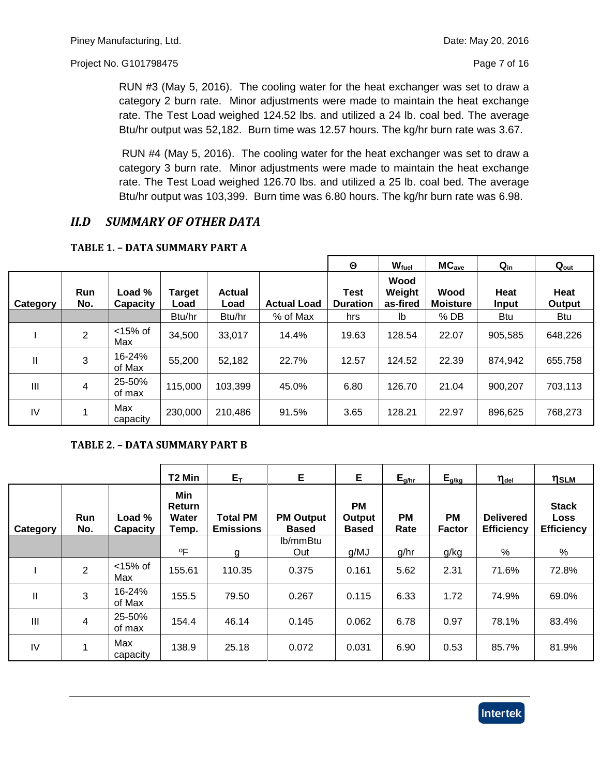RUN #3 (May 5, 2016). The cooling water for the heat exchanger was set to draw a category 2 burn rate. Minor adjustments were made to maintain the heat exchange rate. The Test Load weighed 124.52 lbs. and utilized a 24 lb. coal bed. The average Btu/hr output was 52,182. Burn time was 12.57 hours. The kg/hr burn rate was 3.67.

RUN #4 (May 5, 2016). The cooling water for the heat exchanger was set to draw a category 3 burn rate. Minor adjustments were made to maintain the heat exchange rate. The Test Load weighed 126.70 lbs. and utilized a 25 lb. coal bed. The average Btu/hr output was 103,399. Burn time was 6.80 hours. The kg/hr burn rate was 6.98.

## <span id="page-6-0"></span>*II.D SUMMARY OF OTHER DATA*

|                |                   |                           |                       |                       |                    | $\boldsymbol{\Theta}$   | W <sub>fuel</sub>          | MC <sub>ave</sub>       | $Q_{in}$             | $Q_{\text{out}}$ |
|----------------|-------------------|---------------------------|-----------------------|-----------------------|--------------------|-------------------------|----------------------------|-------------------------|----------------------|------------------|
| Category       | <b>Run</b><br>No. | Load %<br><b>Capacity</b> | <b>Target</b><br>Load | <b>Actual</b><br>Load | <b>Actual Load</b> | Test<br><b>Duration</b> | Wood<br>Weight<br>as-fired | Wood<br><b>Moisture</b> | Heat<br><b>Input</b> | Heat<br>Output   |
|                |                   |                           | Btu/hr                | Btu/hr                | % of Max           | hrs                     | lb                         | $%$ DB                  | <b>Btu</b>           | <b>Btu</b>       |
|                | $\overline{2}$    | $<$ 15% of<br>Max         | 34,500                | 33,017                | 14.4%              | 19.63                   | 128.54                     | 22.07                   | 905,585              | 648,226          |
| $\mathbf{I}$   | 3                 | 16-24%<br>of Max          | 55,200                | 52,182                | 22.7%              | 12.57                   | 124.52                     | 22.39                   | 874,942              | 655,758          |
| $\mathbf{III}$ | 4                 | 25-50%<br>of max          | 115,000               | 103,399               | 45.0%              | 6.80                    | 126.70                     | 21.04                   | 900,207              | 703,113          |
| IV             |                   | Max<br>capacity           | 230,000               | 210,486               | 91.5%              | 3.65                    | 128.21                     | 22.97                   | 896,625              | 768,273          |

#### <span id="page-6-1"></span>**TABLE 1. – DATA SUMMARY PART A**

#### **TABLE 2. – DATA SUMMARY PART B**

|                |                |                    | T2 Min                                 | $E_{\rm T}$                         | E                                | E.                                  | $E_{g/hr}$        | $E_{g/kg}$                 | $\eta_{\text{\tiny{del}}}$            | ηslm                                      |
|----------------|----------------|--------------------|----------------------------------------|-------------------------------------|----------------------------------|-------------------------------------|-------------------|----------------------------|---------------------------------------|-------------------------------------------|
| Category       | Run<br>No.     | Load %<br>Capacity | Min<br><b>Return</b><br>Water<br>Temp. | <b>Total PM</b><br><b>Emissions</b> | <b>PM Output</b><br><b>Based</b> | <b>PM</b><br>Output<br><b>Based</b> | <b>PM</b><br>Rate | <b>PM</b><br><b>Factor</b> | <b>Delivered</b><br><b>Efficiency</b> | <b>Stack</b><br>Loss<br><b>Efficiency</b> |
|                |                |                    | ٥F                                     |                                     | lb/mmBtu<br>Out                  | g/MJ                                | g/hr              | g/kg                       | %                                     | %                                         |
|                | $\overline{2}$ | $<$ 15% of<br>Max  | 155.61                                 | g<br>110.35                         | 0.375                            | 0.161                               | 5.62              | 2.31                       | 71.6%                                 | 72.8%                                     |
| $\mathbf{I}$   | 3              | 16-24%<br>of Max   | 155.5                                  | 79.50                               | 0.267                            | 0.115                               | 6.33              | 1.72                       | 74.9%                                 | 69.0%                                     |
| $\mathbf{III}$ | $\overline{4}$ | 25-50%<br>of max   | 154.4                                  | 46.14                               | 0.145                            | 0.062                               | 6.78              | 0.97                       | 78.1%                                 | 83.4%                                     |
| IV             | 1              | Max<br>capacity    | 138.9                                  | 25.18                               | 0.072                            | 0.031                               | 6.90              | 0.53                       | 85.7%                                 | 81.9%                                     |

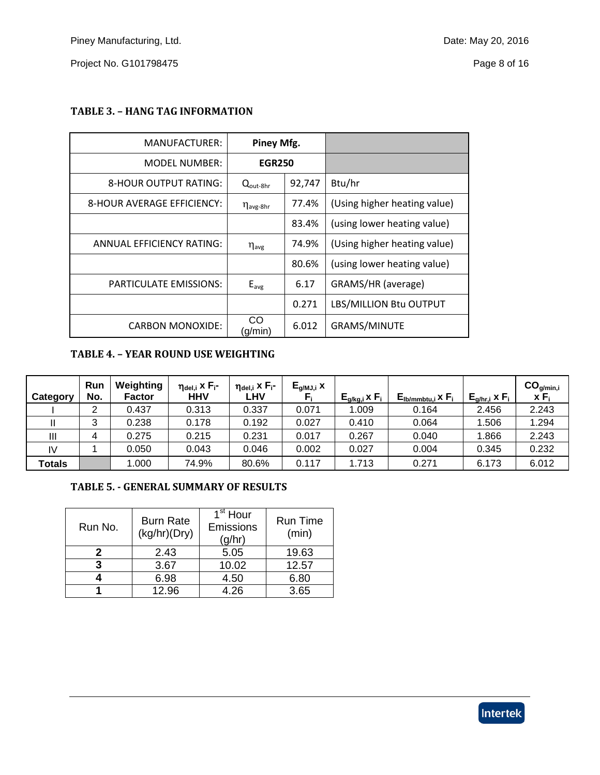<span id="page-7-0"></span>

|  | TABLE 3. - HANG TAG INFORMATION |  |  |  |  |  |
|--|---------------------------------|--|--|--|--|--|
|--|---------------------------------|--|--|--|--|--|

| MANUFACTURER:                    | Piney Mfg.                        |        |                              |
|----------------------------------|-----------------------------------|--------|------------------------------|
| <b>MODEL NUMBER:</b>             | <b>EGR250</b>                     |        |                              |
| 8-HOUR OUTPUT RATING:            | $Q_{\text{out-8hr}}$              | 92,747 | Btu/hr                       |
| 8-HOUR AVERAGE EFFICIENCY:       | $\eta_{\mathsf{avg}\text{-}8}$ hr | 77.4%  | (Using higher heating value) |
|                                  |                                   | 83.4%  | (using lower heating value)  |
| <b>ANNUAL EFFICIENCY RATING:</b> | $\eta_{\mathsf{avg}}$             | 74.9%  | (Using higher heating value) |
|                                  |                                   | 80.6%  | (using lower heating value)  |
| <b>PARTICULATE EMISSIONS:</b>    | $E_{avg}$                         | 6.17   | GRAMS/HR (average)           |
|                                  |                                   | 0.271  | LBS/MILLION Btu OUTPUT       |
| <b>CARBON MONOXIDE:</b>          | CO<br>(q/min                      | 6.012  | <b>GRAMS/MINUTE</b>          |

### <span id="page-7-1"></span>**TABLE 4. – YEAR ROUND USE WEIGHTING**

| Category | <b>Run</b><br>No. | Weighting<br>Factor | $\eta_{\text{del},i}$ x $F_{i}$ -<br><b>HHV</b> | $ηdel,i$ x F <sub>i</sub> -<br><b>LHV</b> | $E_{g/MJ,i}$ x | $E_{q/kg,i}$ x $F_i$ | $\mathsf{E}_{\mathsf{lb/mmbt} \mathsf{u}, \mathsf{i}}$ x $\mathsf{F}_{\mathsf{i}}$ | $E_{q/hr,i}$ x $F_i$ | CO <sub>g/min,i</sub><br>$X F_i$ |
|----------|-------------------|---------------------|-------------------------------------------------|-------------------------------------------|----------------|----------------------|------------------------------------------------------------------------------------|----------------------|----------------------------------|
|          | ◠                 | 0.437               | 0.313                                           | 0.337                                     | 0.071          | 1.009                | 0.164                                                                              | 2.456                | 2.243                            |
|          | 3                 | 0.238               | 0.178                                           | 0.192                                     | 0.027          | 0.410                | 0.064                                                                              | .506                 | 1.294                            |
| Ш        | 4                 | 0.275               | 0.215                                           | 0.231                                     | 0.017          | 0.267                | 0.040                                                                              | 1.866                | 2.243                            |
| IV       |                   | 0.050               | 0.043                                           | 0.046                                     | 0.002          | 0.027                | 0.004                                                                              | 0.345                | 0.232                            |
| Totals   |                   | 1.000               | 74.9%                                           | 80.6%                                     | 0.117          | 1.713                | 0.271                                                                              | 6.173                | 6.012                            |

#### <span id="page-7-2"></span>**TABLE 5. - GENERAL SUMMARY OF RESULTS**

| Run No. | <b>Burn Rate</b><br>(kg/hr)(Dry) | 1 <sup>st</sup> Hour<br>Emissions<br>(g/hr) | <b>Run Time</b><br>(min) |
|---------|----------------------------------|---------------------------------------------|--------------------------|
|         | 2.43                             | 5.05                                        | 19.63                    |
|         | 3.67                             | 10.02                                       | 12.57                    |
|         | 6.98                             | 4.50                                        | 6.80                     |
|         | 12.96                            | 4.26                                        | 3.65                     |

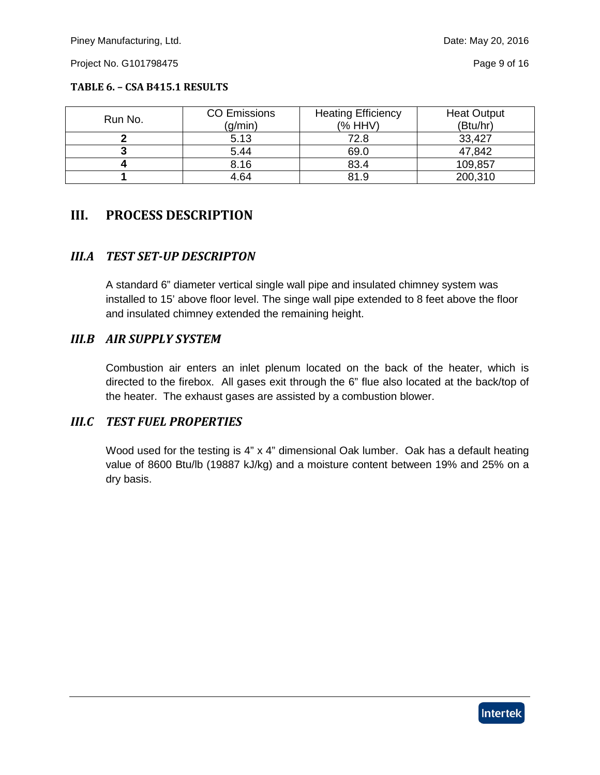#### **TABLE 6. – CSA B415.1 RESULTS**

| Run No. | <b>CO Emissions</b><br>(g/min) | <b>Heating Efficiency</b><br>(% HHV) | <b>Heat Output</b><br>(Btu/hr) |
|---------|--------------------------------|--------------------------------------|--------------------------------|
|         | 5.13                           | 72.8                                 | 33,427                         |
|         | 5.44                           | 69.0                                 | 47,842                         |
|         | 8.16                           | 83.4                                 | 109,857                        |
|         | 4.64                           | 81.9                                 | 200,310                        |

## <span id="page-8-0"></span>**III. PROCESS DESCRIPTION**

### <span id="page-8-1"></span>*III.A TEST SET-UP DESCRIPTON*

A standard 6" diameter vertical single wall pipe and insulated chimney system was installed to 15' above floor level. The singe wall pipe extended to 8 feet above the floor and insulated chimney extended the remaining height.

#### <span id="page-8-2"></span>*III.B AIR SUPPLY SYSTEM*

Combustion air enters an inlet plenum located on the back of the heater, which is directed to the firebox. All gases exit through the 6" flue also located at the back/top of the heater. The exhaust gases are assisted by a combustion blower.

#### <span id="page-8-3"></span>*III.C TEST FUEL PROPERTIES*

Wood used for the testing is 4" x 4" dimensional Oak lumber. Oak has a default heating value of 8600 Btu/lb (19887 kJ/kg) and a moisture content between 19% and 25% on a dry basis.

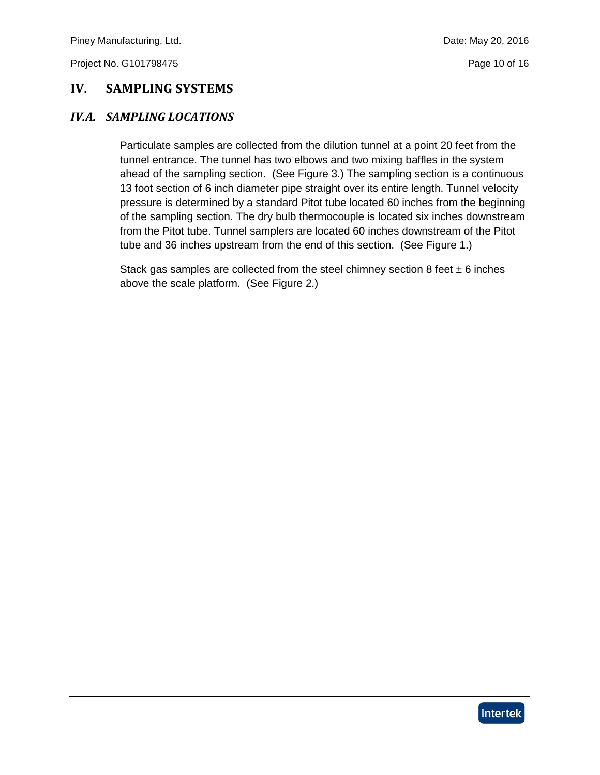## <span id="page-9-0"></span>**IV. SAMPLING SYSTEMS**

## <span id="page-9-1"></span>*IV.A. SAMPLING LOCATIONS*

Particulate samples are collected from the dilution tunnel at a point 20 feet from the tunnel entrance. The tunnel has two elbows and two mixing baffles in the system ahead of the sampling section. (See Figure 3.) The sampling section is a continuous 13 foot section of 6 inch diameter pipe straight over its entire length. Tunnel velocity pressure is determined by a standard Pitot tube located 60 inches from the beginning of the sampling section. The dry bulb thermocouple is located six inches downstream from the Pitot tube. Tunnel samplers are located 60 inches downstream of the Pitot tube and 36 inches upstream from the end of this section. (See Figure 1.)

Stack gas samples are collected from the steel chimney section 8 feet  $\pm$  6 inches above the scale platform. (See Figure 2.)

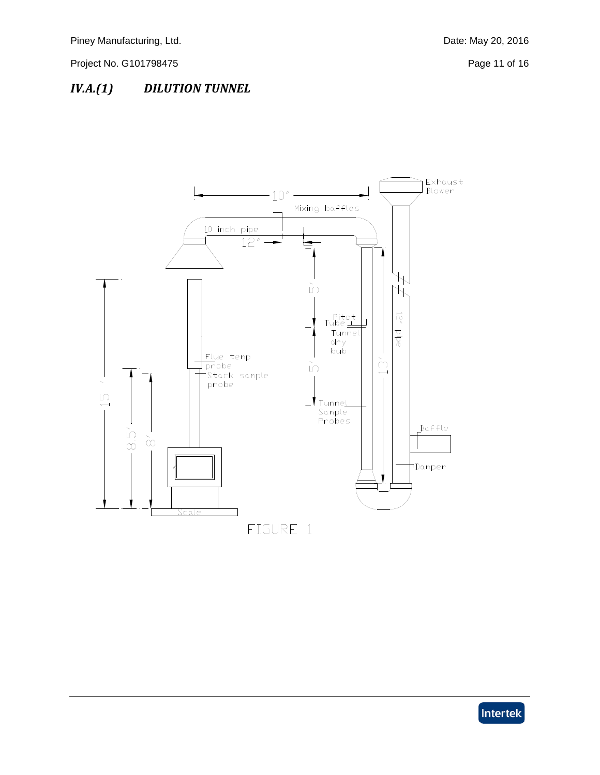# <span id="page-10-0"></span>*IV.A.(1) DILUTION TUNNEL*



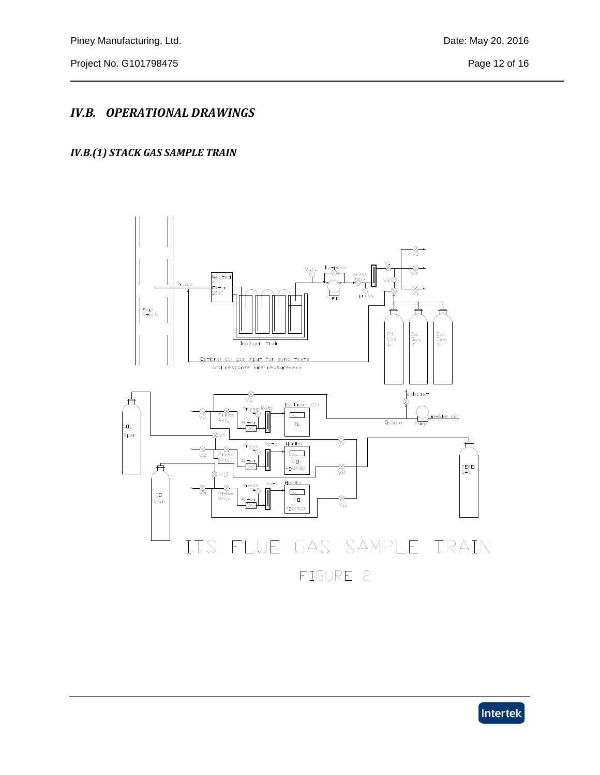## <span id="page-11-0"></span>*IV.B. OPERATIONAL DRAWINGS*

## <span id="page-11-1"></span>*IV.B.(1) STACK GAS SAMPLE TRAIN*



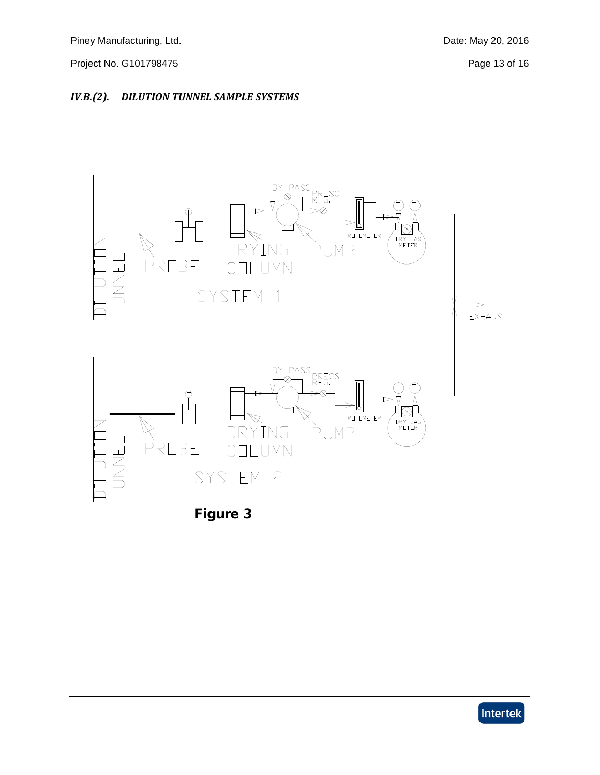### <span id="page-12-1"></span><span id="page-12-0"></span>*IV.B.(2). DILUTION TUNNEL SAMPLE SYSTEMS*





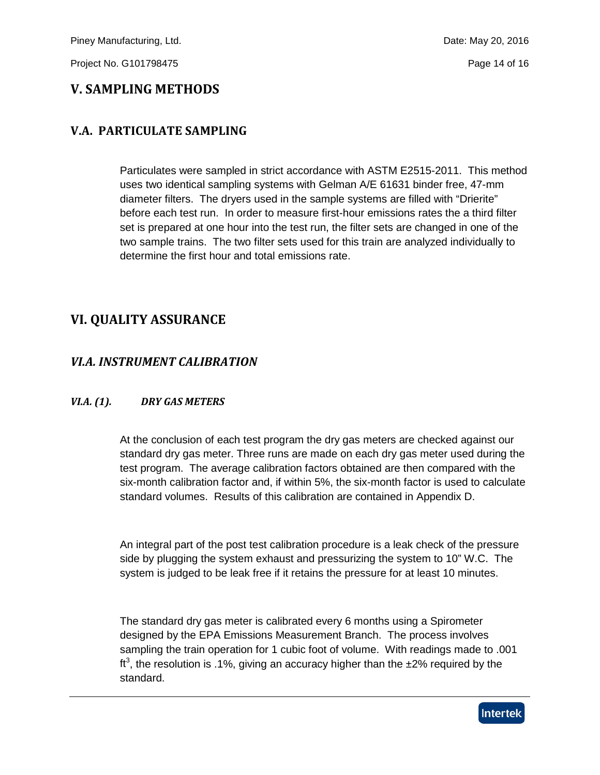## **V. SAMPLING METHODS**

## <span id="page-13-0"></span>**V.A. PARTICULATE SAMPLING**

Particulates were sampled in strict accordance with ASTM E2515-2011. This method uses two identical sampling systems with Gelman A/E 61631 binder free, 47-mm diameter filters. The dryers used in the sample systems are filled with "Drierite" before each test run. In order to measure first-hour emissions rates the a third filter set is prepared at one hour into the test run, the filter sets are changed in one of the two sample trains. The two filter sets used for this train are analyzed individually to determine the first hour and total emissions rate.

## <span id="page-13-1"></span>**VI. QUALITY ASSURANCE**

## <span id="page-13-2"></span>*VI.A. INSTRUMENT CALIBRATION*

#### <span id="page-13-3"></span>*VI.A. (1). DRY GAS METERS*

At the conclusion of each test program the dry gas meters are checked against our standard dry gas meter. Three runs are made on each dry gas meter used during the test program. The average calibration factors obtained are then compared with the six-month calibration factor and, if within 5%, the six-month factor is used to calculate standard volumes. Results of this calibration are contained in Appendix D.

An integral part of the post test calibration procedure is a leak check of the pressure side by plugging the system exhaust and pressurizing the system to 10" W.C. The system is judged to be leak free if it retains the pressure for at least 10 minutes.

The standard dry gas meter is calibrated every 6 months using a Spirometer designed by the EPA Emissions Measurement Branch. The process involves sampling the train operation for 1 cubic foot of volume. With readings made to .001 ft<sup>3</sup>, the resolution is .1%, giving an accuracy higher than the  $\pm$ 2% required by the standard.

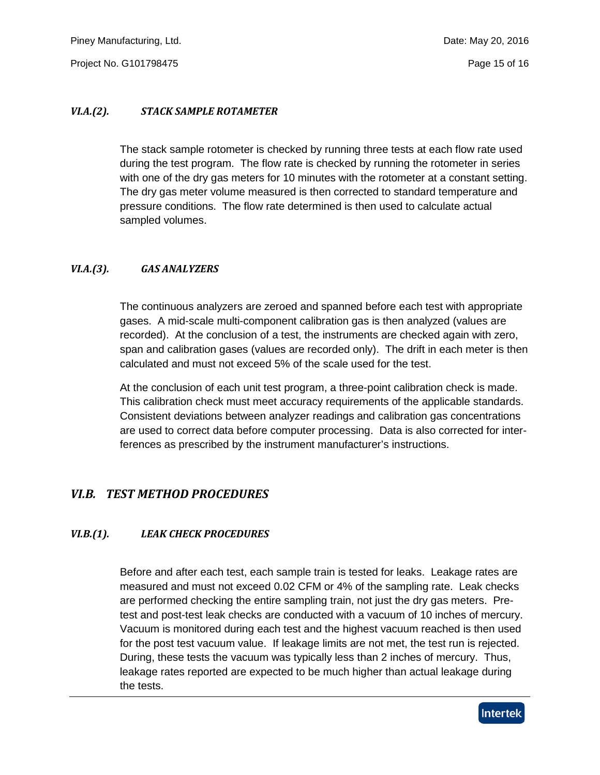Piney Manufacturing, Ltd. Date: May 20, 2016

Project No. G101798475 **Project No. G101798475** 

#### <span id="page-14-0"></span>*VI.A.(2). STACK SAMPLE ROTAMETER*

The stack sample rotometer is checked by running three tests at each flow rate used during the test program. The flow rate is checked by running the rotometer in series with one of the dry gas meters for 10 minutes with the rotometer at a constant setting. The dry gas meter volume measured is then corrected to standard temperature and pressure conditions. The flow rate determined is then used to calculate actual sampled volumes.

#### <span id="page-14-1"></span>*VI.A.(3). GAS ANALYZERS*

The continuous analyzers are zeroed and spanned before each test with appropriate gases. A mid-scale multi-component calibration gas is then analyzed (values are recorded). At the conclusion of a test, the instruments are checked again with zero, span and calibration gases (values are recorded only). The drift in each meter is then calculated and must not exceed 5% of the scale used for the test.

At the conclusion of each unit test program, a three-point calibration check is made. This calibration check must meet accuracy requirements of the applicable standards. Consistent deviations between analyzer readings and calibration gas concentrations are used to correct data before computer processing. Data is also corrected for interferences as prescribed by the instrument manufacturer's instructions.

## <span id="page-14-2"></span>*VI.B. TEST METHOD PROCEDURES*

#### <span id="page-14-3"></span>*VI.B.(1). LEAK CHECK PROCEDURES*

Before and after each test, each sample train is tested for leaks. Leakage rates are measured and must not exceed 0.02 CFM or 4% of the sampling rate. Leak checks are performed checking the entire sampling train, not just the dry gas meters. Pretest and post-test leak checks are conducted with a vacuum of 10 inches of mercury. Vacuum is monitored during each test and the highest vacuum reached is then used for the post test vacuum value. If leakage limits are not met, the test run is rejected. During, these tests the vacuum was typically less than 2 inches of mercury. Thus, leakage rates reported are expected to be much higher than actual leakage during the tests.